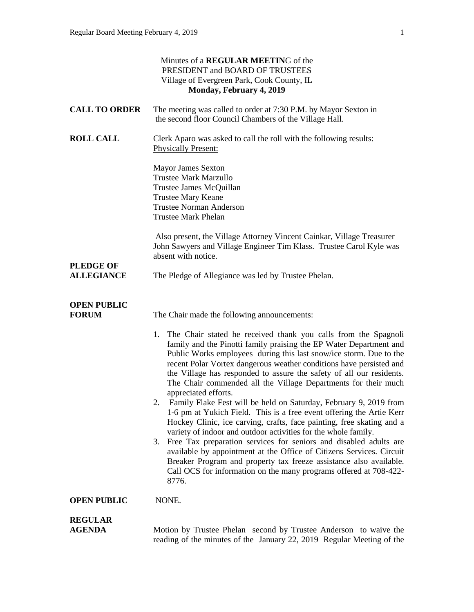|                                       | Minutes of a REGULAR MEETING of the<br>PRESIDENT and BOARD OF TRUSTEES<br>Village of Evergreen Park, Cook County, IL<br>Monday, February 4, 2019                                                                                                                                                                                                                                                                                                                                                                                                                                                                                                                                                                                                                                                                                                                                                                                                                                                                                                                                                  |
|---------------------------------------|---------------------------------------------------------------------------------------------------------------------------------------------------------------------------------------------------------------------------------------------------------------------------------------------------------------------------------------------------------------------------------------------------------------------------------------------------------------------------------------------------------------------------------------------------------------------------------------------------------------------------------------------------------------------------------------------------------------------------------------------------------------------------------------------------------------------------------------------------------------------------------------------------------------------------------------------------------------------------------------------------------------------------------------------------------------------------------------------------|
| <b>CALL TO ORDER</b>                  | The meeting was called to order at 7:30 P.M. by Mayor Sexton in<br>the second floor Council Chambers of the Village Hall.                                                                                                                                                                                                                                                                                                                                                                                                                                                                                                                                                                                                                                                                                                                                                                                                                                                                                                                                                                         |
| <b>ROLL CALL</b>                      | Clerk Aparo was asked to call the roll with the following results:<br><b>Physically Present:</b>                                                                                                                                                                                                                                                                                                                                                                                                                                                                                                                                                                                                                                                                                                                                                                                                                                                                                                                                                                                                  |
|                                       | <b>Mayor James Sexton</b><br><b>Trustee Mark Marzullo</b><br>Trustee James McQuillan<br><b>Trustee Mary Keane</b><br><b>Trustee Norman Anderson</b><br><b>Trustee Mark Phelan</b>                                                                                                                                                                                                                                                                                                                                                                                                                                                                                                                                                                                                                                                                                                                                                                                                                                                                                                                 |
|                                       | Also present, the Village Attorney Vincent Cainkar, Village Treasurer<br>John Sawyers and Village Engineer Tim Klass. Trustee Carol Kyle was<br>absent with notice.                                                                                                                                                                                                                                                                                                                                                                                                                                                                                                                                                                                                                                                                                                                                                                                                                                                                                                                               |
| <b>PLEDGE OF</b><br><b>ALLEGIANCE</b> | The Pledge of Allegiance was led by Trustee Phelan.                                                                                                                                                                                                                                                                                                                                                                                                                                                                                                                                                                                                                                                                                                                                                                                                                                                                                                                                                                                                                                               |
| <b>OPEN PUBLIC</b><br><b>FORUM</b>    | The Chair made the following announcements:<br>1. The Chair stated he received thank you calls from the Spagnoli<br>family and the Pinotti family praising the EP Water Department and<br>Public Works employees during this last snow/ice storm. Due to the<br>recent Polar Vortex dangerous weather conditions have persisted and<br>the Village has responded to assure the safety of all our residents.<br>The Chair commended all the Village Departments for their much<br>appreciated efforts.<br>Family Flake Fest will be held on Saturday, February 9, 2019 from<br>1-6 pm at Yukich Field. This is a free event offering the Artie Kerr<br>Hockey Clinic, ice carving, crafts, face painting, free skating and a<br>variety of indoor and outdoor activities for the whole family.<br>3. Free Tax preparation services for seniors and disabled adults are<br>available by appointment at the Office of Citizens Services. Circuit<br>Breaker Program and property tax freeze assistance also available.<br>Call OCS for information on the many programs offered at 708-422-<br>8776. |
| <b>OPEN PUBLIC</b>                    | NONE.                                                                                                                                                                                                                                                                                                                                                                                                                                                                                                                                                                                                                                                                                                                                                                                                                                                                                                                                                                                                                                                                                             |
| <b>REGULAR</b><br><b>AGENDA</b>       | Motion by Trustee Phelan second by Trustee Anderson to waive the<br>reading of the minutes of the January 22, 2019 Regular Meeting of the                                                                                                                                                                                                                                                                                                                                                                                                                                                                                                                                                                                                                                                                                                                                                                                                                                                                                                                                                         |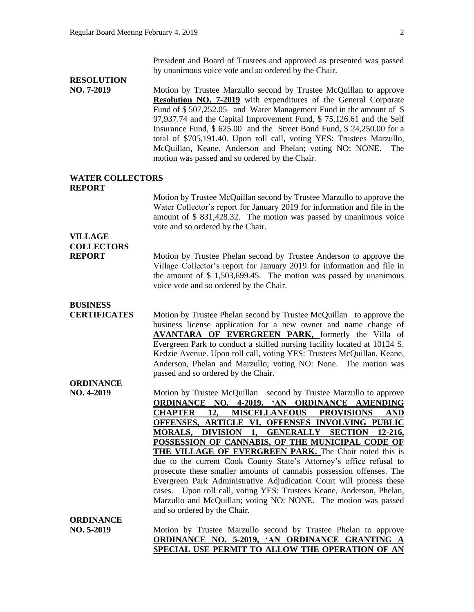President and Board of Trustees and approved as presented was passed by unanimous voice vote and so ordered by the Chair.

# **RESOLUTION**

**NO. 7-2019** Motion by Trustee Marzullo second by Trustee McQuillan to approve **Resolution NO. 7-2019** with expenditures of the General Corporate Fund of \$ 507,252.05 and Water Management Fund in the amount of \$ 97,937.74 and the Capital Improvement Fund, \$ 75,126.61 and the Self Insurance Fund, \$ 625.00 and the Street Bond Fund, \$ 24,250.00 for a total of \$705,191.40. Upon roll call, voting YES: Trustees Marzullo, McQuillan, Keane, Anderson and Phelan; voting NO: NONE. The motion was passed and so ordered by the Chair.

#### **WATER COLLECTORS REPORT**

Motion by Trustee McQuillan second by Trustee Marzullo to approve the Water Collector's report for January 2019 for information and file in the amount of \$ 831,428.32. The motion was passed by unanimous voice vote and so ordered by the Chair.

## **VILLAGE COLLECTORS**

**REPORT** Motion by Trustee Phelan second by Trustee Anderson to approve the Village Collector's report for January 2019 for information and file in the amount of \$ 1,503,699.45. The motion was passed by unanimous voice vote and so ordered by the Chair.

### **BUSINESS**

**CERTIFICATES** Motion by Trustee Phelan second by Trustee McQuillan to approve the business license application for a new owner and name change of **AVANTARA OF EVERGREEN PARK,** formerly the Villa of Evergreen Park to conduct a skilled nursing facility located at 10124 S. Kedzie Avenue. Upon roll call, voting YES: Trustees McQuillan, Keane, Anderson, Phelan and Marzullo; voting NO: None. The motion was passed and so ordered by the Chair.

### **ORDINANCE**

**NO. 4-2019** Motion by Trustee McQuillan second by Trustee Marzullo to approve **ORDINANCE NO. 4-2019, 'AN ORDINANCE AMENDING CHAPTER 12, MISCELLANEOUS PROVISIONS AND OFFENSES, ARTICLE VI, OFFENSES INVOLVING PUBLIC MORALS, DIVISION 1, GENERALLY SECTION 12-216, POSSESSION OF CANNABIS, OF THE MUNICIPAL CODE OF**  THE VILLAGE OF EVERGREEN PARK. The Chair noted this is due to the current Cook County State's Attorney's office refusal to prosecute these smaller amounts of cannabis possession offenses. The Evergreen Park Administrative Adjudication Court will process these cases. Upon roll call, voting YES: Trustees Keane, Anderson, Phelan, Marzullo and McQuillan; voting NO: NONE. The motion was passed and so ordered by the Chair. **ORDINANCE**

**NO. 5-2019** Motion by Trustee Marzullo second by Trustee Phelan to approve **ORDINANCE NO. 5-2019, 'AN ORDINANCE GRANTING A SPECIAL USE PERMIT TO ALLOW THE OPERATION OF AN**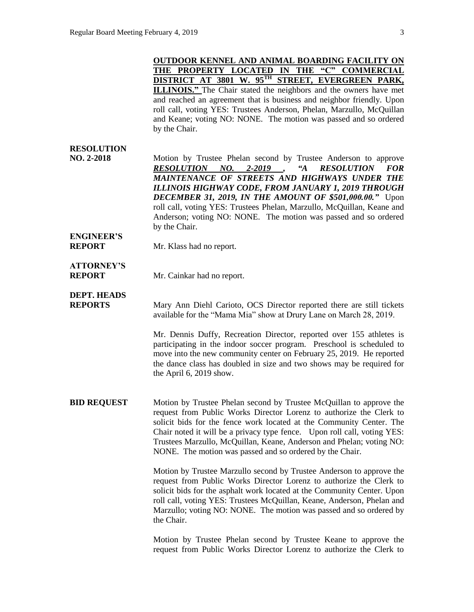|                                      | OUTDOOR KENNEL AND ANIMAL BOARDING FACILITY ON<br>THE PROPERTY LOCATED IN THE "C" COMMERCIAL                                                                                                                                                                                                                                                                                                                                                                                                |
|--------------------------------------|---------------------------------------------------------------------------------------------------------------------------------------------------------------------------------------------------------------------------------------------------------------------------------------------------------------------------------------------------------------------------------------------------------------------------------------------------------------------------------------------|
|                                      | DISTRICT AT 3801 W. 95TH STREET, EVERGREEN PARK,                                                                                                                                                                                                                                                                                                                                                                                                                                            |
|                                      | <b>ILLINOIS."</b> The Chair stated the neighbors and the owners have met<br>and reached an agreement that is business and neighbor friendly. Upon<br>roll call, voting YES: Trustees Anderson, Phelan, Marzullo, McQuillan<br>and Keane; voting NO: NONE. The motion was passed and so ordered<br>by the Chair.                                                                                                                                                                             |
| <b>RESOLUTION</b><br>NO. 2-2018      | Motion by Trustee Phelan second by Trustee Anderson to approve<br>RESOLUTION NO.<br>2-2019<br>$A^{\prime\prime}$<br><b>RESOLUTION</b><br><b>FOR</b><br>MAINTENANCE OF STREETS AND HIGHWAYS UNDER THE<br>ILLINOIS HIGHWAY CODE, FROM JANUARY 1, 2019 THROUGH<br><b>DECEMBER 31, 2019, IN THE AMOUNT OF \$501,000.00."</b> Upon<br>roll call, voting YES: Trustees Phelan, Marzullo, McQuillan, Keane and<br>Anderson; voting NO: NONE. The motion was passed and so ordered<br>by the Chair. |
| <b>ENGINEER'S</b><br><b>REPORT</b>   | Mr. Klass had no report.                                                                                                                                                                                                                                                                                                                                                                                                                                                                    |
| <b>ATTORNEY'S</b><br><b>REPORT</b>   | Mr. Cainkar had no report.                                                                                                                                                                                                                                                                                                                                                                                                                                                                  |
| <b>DEPT. HEADS</b><br><b>REPORTS</b> | Mary Ann Diehl Carioto, OCS Director reported there are still tickets<br>available for the "Mama Mia" show at Drury Lane on March 28, 2019.                                                                                                                                                                                                                                                                                                                                                 |
|                                      | Mr. Dennis Duffy, Recreation Director, reported over 155 athletes is<br>participating in the indoor soccer program. Preschool is scheduled to<br>move into the new community center on February 25, 2019. He reported<br>the dance class has doubled in size and two shows may be required for<br>the April 6, 2019 show.                                                                                                                                                                   |
| <b>BID REQUEST</b>                   | Motion by Trustee Phelan second by Trustee McQuillan to approve the<br>request from Public Works Director Lorenz to authorize the Clerk to<br>solicit bids for the fence work located at the Community Center. The<br>Chair noted it will be a privacy type fence. Upon roll call, voting YES:<br>Trustees Marzullo, McQuillan, Keane, Anderson and Phelan; voting NO:<br>NONE. The motion was passed and so ordered by the Chair.                                                          |
|                                      | Motion by Trustee Marzullo second by Trustee Anderson to approve the<br>request from Public Works Director Lorenz to authorize the Clerk to<br>solicit bids for the asphalt work located at the Community Center. Upon<br>roll call, voting YES: Trustees McQuillan, Keane, Anderson, Phelan and<br>Marzullo; voting NO: NONE. The motion was passed and so ordered by<br>the Chair.                                                                                                        |
|                                      | Motion by Trustee Phelan second by Trustee Keane to approve the<br>request from Public Works Director Lorenz to authorize the Clerk to                                                                                                                                                                                                                                                                                                                                                      |